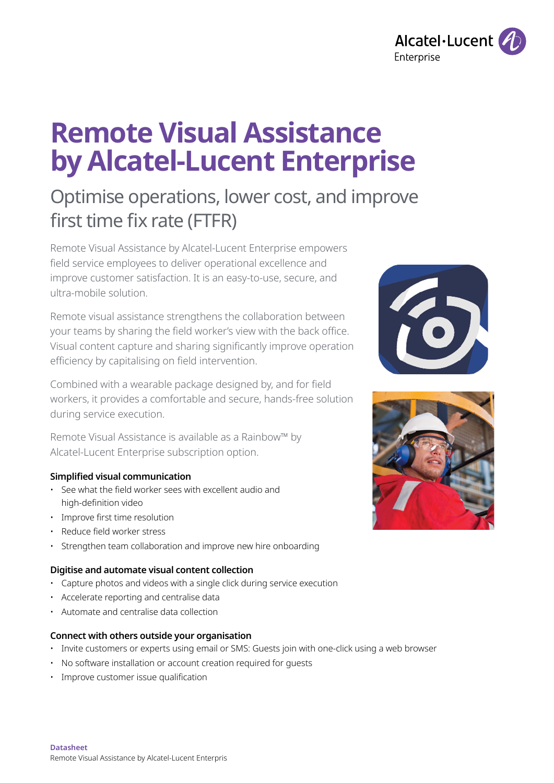

# **Remote Visual Assistance by Alcatel-Lucent Enterprise**

# Optimise operations, lower cost, and improve first time fix rate (FTFR)

Remote Visual Assistance by Alcatel-Lucent Enterprise empowers field service employees to deliver operational excellence and improve customer satisfaction. It is an easy-to-use, secure, and ultra-mobile solution.

Remote visual assistance strengthens the collaboration between your teams by sharing the field worker's view with the back office. Visual content capture and sharing significantly improve operation efficiency by capitalising on field intervention.

Combined with a wearable package designed by, and for field workers, it provides a comfortable and secure, hands-free solution during service execution.

Remote Visual Assistance is available as a Rainbow™ by Alcatel-Lucent Enterprise subscription option.

#### **Simplified visual communication**

- See what the field worker sees with excellent audio and high-definition video
- Improve first time resolution
- Reduce field worker stress
- Strengthen team collaboration and improve new hire onboarding

#### **Digitise and automate visual content collection**

- Capture photos and videos with a single click during service execution
- Accelerate reporting and centralise data
- Automate and centralise data collection

#### **Connect with others outside your organisation**

- Invite customers or experts using email or SMS: Guests join with one-click using a web browser
- No software installation or account creation required for guests
- Improve customer issue qualification